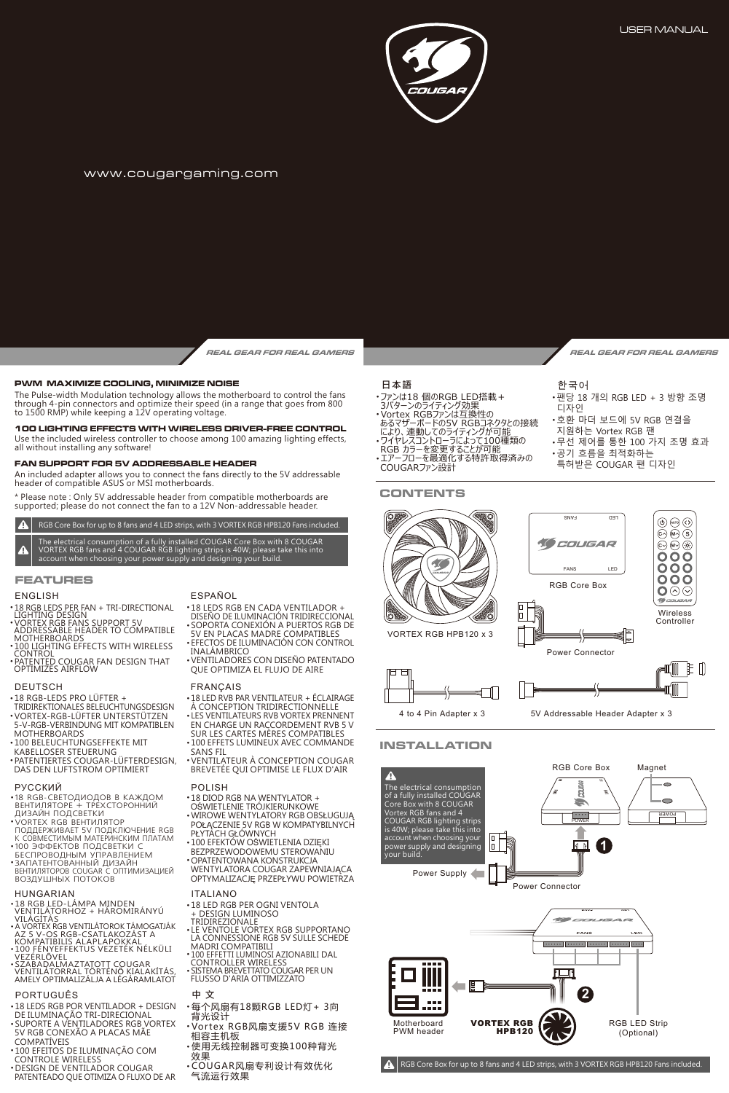

### www.cougargaming.com

**REAL GEAR FOR REAL GAMERS REAL GEAR FOR REAL GAMERS**

### **PWM MAXIMIZE COOLING, MINIMIZE NOISE**

The Pulse-width Modulation technology allows the motherboard to control the fans through 4-pin connectors and optimize their speed (in a range that goes from 800 to 1500 RMP) while keeping a 12V operating voltage.

Use the included wireless controller to choose among 100 amazing lighting effects, all without installing any software! **100 LIGHTING EFFECTS WITH WIRELESS DRIVER-FREE CONTROL**

### **FAN SUPPORT FOR 5V ADDRESSABLE HEADER**

An included adapter allows you to connect the fans directly to the 5V addressable header of compatible ASUS or MSI motherboards.

\* Please note : Only 5V addressable header from compatible motherboards are supported; please do not connect the fan to a 12V Non-addressable header.

RGB Core Box for up to 8 fans and 4 LED strips, with 3 VORTEX RGB HPB120 Fans included.  $\blacktriangle$ 

The electrical consumption of a fully installed COUGAR Core Box with 8 COUGAR VORTEX RGB fans and 4 COUGAR RGB lighting strips is 40W; please take this into account when choosing your power supply and designing your build.

### **FEATURES**

- ENGLISH<br>• 18 RGR LEDS PER FAN + TRI-DIRECTIONAL
- 18 RGB LEDS PER FAN + TRI-DIRECTIONAL<br>LIGHTING DESIGN<br>• VORTEX RGB FANS SUPPORT 5V<br>ADDRESSABLE HEADER TO COMPATIBLE<br>MOTHERBOARDS<br>• 100 LIGHTING EFFECTS WITH WIRELESS
- CONTROL PATENTED COUGAR FAN DESIGN THAT
- OPTIMIZES AIRFLOW

### DEUTSCH

- •18 RGB-LEDS PRO LUFTER +<br>|TRIDIREKTIONALES BELEUCHTUNGSDESIGN<br>• VORTEX-RGB-LÜFTER UNTERSTÜTZEN
- 5-V-RGB-VERBINDUNG MIT KOMPATIBLEN MOTHERBOARDS
- 100 BELEUCHTUNGSEFFEKTE MIT KABELLOSER STEUERUNG
- PATENTIERTES COUGAR-LUFTERDESIGN,<br>DAS DEN LUFTSTROM OPTIMIERT

## РУССКИЙ

- 18 RGB-СВЕТОДИОДОВ В КАЖДОМ<br>ВЕНТИЛЯТОРЕ + ТРЕХСТОРОННИЙ<br>ДИЗАЙН ПОДСВЕТКИ<br>• VORTEX RGB ВЕНТИЛЯТОР
- 
- ПОДДЕРЖИВАЕТ 5V ПОДКЛЮЧЕНИЕ RGB<br>К СОВМЕСТИМЫМ МАТЕРИНСКИМ ПЛАТАМ
- •100 ЭФФЕКТОВ ПОДСВЕТКИ С<br>БЕСПРОВОДНЫМ УПРАВЛЕНИЕМ
- ЗАПАТЕНТОВАННЫЙ ДИЗАЙН<br>ВЕНТИЛЯТОРОВ COUGAR С ОПТИМИЗАЦИЕЙ ВОЗДУШНЫХ ПОТОКОВ

- HUNGARIAN<br>•18 RGB LED-LÁMPA MINDEN +18 RGB LED-LÁMPA MINDEN<br>VILÁGÍTÁS<br>VILÁGÍTÁS<br>A VORTEX RGB VENTILÁTOROK TÁMOGATJÁK<br>A VORTEX RGB VENTILÁTOROK TÁMOGATJÁK<br>AZ 5 V-OS RGB-CSATLAKOZÁST A<br>+100 FÉNYEFFEKTUS VEZETÉK NÉLKÜLI<br>VEZÉRLŐVEL
- 
- 
- •SZABADALMAZTATOTT COUGAR<br>VENTILÁTORRAL TÖRTÉNŐ KIALAKÍTÁS,<br>AMELY OPTIMALIZÁLJA A LÉGÁRAMLATOT
- PORTUGUÊS

- •18 LEDS RGB POR VENTILADOR + DESIGN<br>|DE ILUMINAÇÃO TRI-DIRECIONAL<br>•SUPORTE A VENTILADORES RGB VORTEX
- 5V RGB CONEXÃO A PLACAS MÃE
- COMPATIVEIS<br>• 100 EFEITOS DE ILUMINAÇÃO COM
- 
- CONTROLE WIRELESS DESIGN DE VENTILADOR COUGAR PATENTEADO QUE OTIMIZA O FLUXO DE AR

### ESPAÑOL

- 18 LEDS RGB EN CADA VENTILADOR + DISEÑO DE ILUMINACIÓN TRIDIRECCIONAL
- SOPORTA CONEXIÓN A PUERTOS RGB DE 5V EN PLACAS MADRE COMPATIBLES
- EFECTOS DE ILUMINACION CON CONTROL<br>|INALÁMBRICO<br>• VENTILADORES CON DISEÑO PATENTADO
- QUE OPTIMIZA EL FLUJO DE AIRE

### FRANÇAIS

- 18 LED RVB PAR VENTILATEUR + ÉCLAIRAGE À CONCEPTION TRIDIRECTIONNELLE ● LES VENTILATEURS RVB VORTEX PRENNENT
- EN CHARGE UN RACCORDEMENT RVB 5 V SUR LES CARTES MÈRES COMPATIBLES
- **BON EES CANTES MENES COMMATIBEES** SANS FIL
- VENTILATEUR À CONCEPTION COUGAR BREVETÉE QUI OPTIMISE LE FLUX D'AIR
- POLISH .18 DIOD RGB NA WENTYLATOR +
- OŚWIETLENIE TRÓJKIERUNKOWE
- WIROWE WENTYLATORY RGB OBSŁUGUJĄ POŁĄCZENIE 5V RGB W KOMPATYBILNYCH
- PŁYTACH GŁÓWNYCH
- 100 EFEKTÓW OŚWIETLENIA DZIĘKI
- BEZPRZEWODOWEMU STEROWANIU OPATENTOWANA KONSTRUKCJA
- WENTYLATORA COUGAR ZAPEWNIAJĄCA OPTYMALIZACJĘ PRZEPŁYWU POWIETRZA
- ITALIANO
- 18 LED RGB PER OGNI VENTOLA
- 
- + DESIGN LUMINOSO TRIDIREZIONALE LE VENTOLE VORTEX RGB SUPPORTANO LA CONNESSIONE RGB 5V SULLE SCHEDE
- MADRI COMPATIBILI<br>• 100 EFFETTI LUMINOSI AZIONABILI DAL<br>• CONTROLLER WIRELESS<br>• SISTEMA BREVETTATO COUGAR PER UN
- FLUSSO D'ARIA OTTIMIZZATO

# **中 文**

- 每个风扇有18颗RGB LED灯+ 3向 背光设计
- Vortex RGB风扇支援5V RGB 连接 相容主机板 ● 使用无线控制器可变换100种背光
- \_效果<br>• COUGAR风扇专利设计有效优化
	- 气流运行效果

# **日本語**

- 
- 
- 
- 
- 

FANS LED  $\circledcirc$  ( $\circledcirc$ )  $\widehat{(\mathbb{C}\wedge\mathbb{R})}\cap\widehat{S}$ **10** COUGAR 6.  $\binom{6}{10}$  $000$ **OOO** FANS LED ōŏŏ RGB Core Box ଠ⊚⊙ 晴 Wireless Controller VORTEX RGB HPB120 x 3 € Power Connector úM E Û

4 to 4 Pin Adapter x 3 5V Addressable Header Adapter x 3

# **INSTALLATION**



RGB Core Box for up to 8 fans and 4 LED strips, with 3 VORTEX RGB HPB120 Fans included.

| により、 連動してのライティンクか可能<br>・ワイヤレスコントローラによって100種類の<br>| RGB カラーを変更することが可能\_\_\_

**CONTENTS**

한국어

- 팬당 18 개의 RGB LED + 3 방향 조명
- 호환 마더 보드에 5V RGB 연결을
- 지원하는 Vortex RGB 팬
- 무선 제어를 통한 100 가지 조명 효과
- 공기 흐름을 최적화하는
- 특허받은 COUGAR 팬 디자인
- 디자인 ● ファンは18 個のRGB LED搭載+ - 3バターンのライティンク効果<br>・Vortex RGBファンは互換性の<br>あるマザ<u>ーボードの5V RGBコネクタ</u>との接続
	-

- -
- 
- ・エアーフローを最適化する特許取得済みの<br>- COUGARファン設計